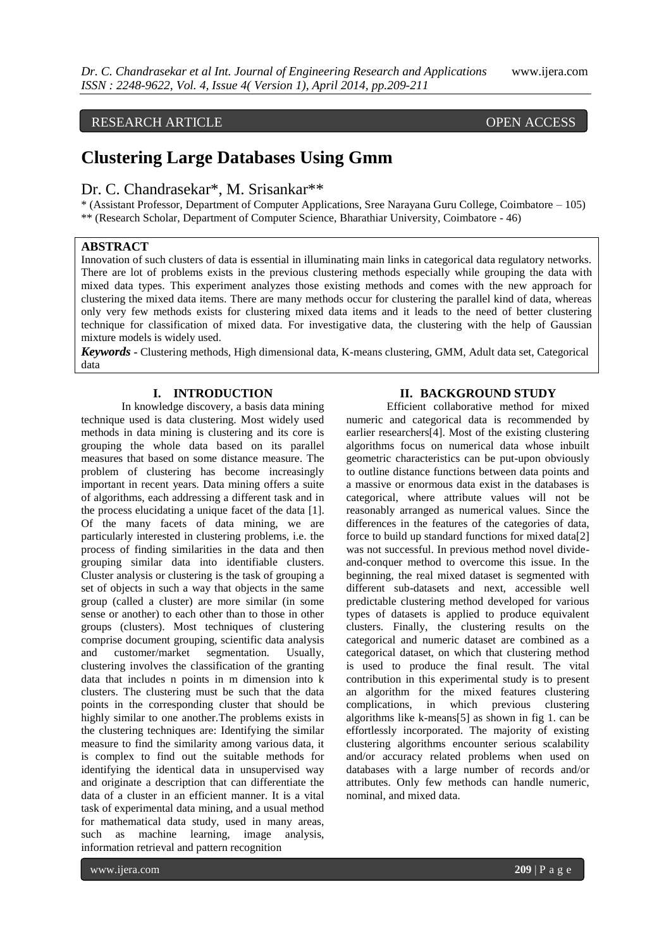# RESEARCH ARTICLE OPEN ACCESS

# **Clustering Large Databases Using Gmm**

# Dr. C. Chandrasekar\*, M. Srisankar\*\*

\* (Assistant Professor, Department of Computer Applications, Sree Narayana Guru College, Coimbatore – 105) \*\* (Research Scholar, Department of Computer Science, Bharathiar University, Coimbatore - 46)

## **ABSTRACT**

Innovation of such clusters of data is essential in illuminating main links in categorical data regulatory networks. There are lot of problems exists in the previous clustering methods especially while grouping the data with mixed data types. This experiment analyzes those existing methods and comes with the new approach for clustering the mixed data items. There are many methods occur for clustering the parallel kind of data, whereas only very few methods exists for clustering mixed data items and it leads to the need of better clustering technique for classification of mixed data. For investigative data, the clustering with the help of Gaussian mixture models is widely used.

*Keywords* **-** Clustering methods, High dimensional data, K-means clustering, GMM, Adult data set, Categorical data

# **I. INTRODUCTION**

In knowledge discovery, a basis data mining technique used is data clustering. Most widely used methods in data mining is clustering and its core is grouping the whole data based on its parallel measures that based on some distance measure. The problem of clustering has become increasingly important in recent years. Data mining offers a suite of algorithms, each addressing a different task and in the process elucidating a unique facet of the data [1]. Of the many facets of data mining, we are particularly interested in clustering problems, i.e. the process of finding similarities in the data and then grouping similar data into identifiable clusters. Cluster analysis or clustering is the task of grouping a set of objects in such a way that objects in the same group (called a cluster) are more similar (in some sense or another) to each other than to those in other groups (clusters). Most techniques of clustering comprise document grouping, scientific data analysis and customer/market segmentation. Usually, clustering involves the classification of the granting data that includes n points in m dimension into k clusters. The clustering must be such that the data points in the corresponding cluster that should be highly similar to one another.The problems exists in the clustering techniques are: Identifying the similar measure to find the similarity among various data, it is complex to find out the suitable methods for identifying the identical data in unsupervised way and originate a description that can differentiate the data of a cluster in an efficient manner. It is a vital task of experimental data mining, and a usual method for mathematical data study, used in many areas, such as machine learning, image analysis, information retrieval and pattern recognition

# **II. BACKGROUND STUDY**

Efficient collaborative method for mixed numeric and categorical data is recommended by earlier researchers[4]. Most of the existing clustering algorithms focus on numerical data whose inbuilt geometric characteristics can be put-upon obviously to outline distance functions between data points and a massive or enormous data exist in the databases is categorical, where attribute values will not be reasonably arranged as numerical values. Since the differences in the features of the categories of data, force to build up standard functions for mixed data[2] was not successful. In previous method novel divideand-conquer method to overcome this issue. In the beginning, the real mixed dataset is segmented with different sub-datasets and next, accessible well predictable clustering method developed for various types of datasets is applied to produce equivalent clusters. Finally, the clustering results on the categorical and numeric dataset are combined as a categorical dataset, on which that clustering method is used to produce the final result. The vital contribution in this experimental study is to present an algorithm for the mixed features clustering complications, in which previous clustering algorithms like k-means[5] as shown in fig 1. can be effortlessly incorporated. The majority of existing clustering algorithms encounter serious scalability and/or accuracy related problems when used on databases with a large number of records and/or attributes. Only few methods can handle numeric, nominal, and mixed data.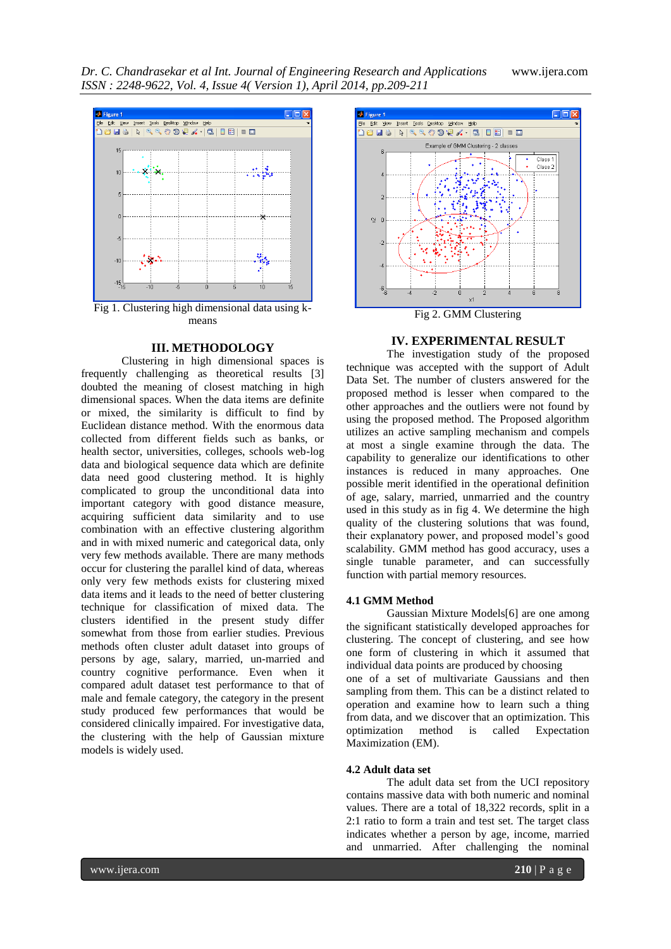*Dr. C. Chandrasekar et al Int. Journal of Engineering Research and Applications* www.ijera.com *ISSN : 2248-9622, Vol. 4, Issue 4( Version 1), April 2014, pp.209-211*



means

# **III. METHODOLOGY**

Clustering in high dimensional spaces is frequently challenging as theoretical results [3] doubted the meaning of closest matching in high dimensional spaces. When the data items are definite or mixed, the similarity is difficult to find by Euclidean distance method. With the enormous data collected from different fields such as banks, or health sector, universities, colleges, schools web-log data and biological sequence data which are definite data need good clustering method. It is highly complicated to group the unconditional data into important category with good distance measure, acquiring sufficient data similarity and to use combination with an effective clustering algorithm and in with mixed numeric and categorical data, only very few methods available. There are many methods occur for clustering the parallel kind of data, whereas only very few methods exists for clustering mixed data items and it leads to the need of better clustering technique for classification of mixed data. The clusters identified in the present study differ somewhat from those from earlier studies. Previous methods often cluster adult dataset into groups of persons by age, salary, married, un-married and country cognitive performance. Even when it compared adult dataset test performance to that of male and female category, the category in the present study produced few performances that would be considered clinically impaired. For investigative data, the clustering with the help of Gaussian mixture models is widely used.



#### **IV. EXPERIMENTAL RESULT**

The investigation study of the proposed technique was accepted with the support of Adult Data Set. The number of clusters answered for the proposed method is lesser when compared to the other approaches and the outliers were not found by using the proposed method. The Proposed algorithm utilizes an active sampling mechanism and compels at most a single examine through the data. The capability to generalize our identifications to other instances is reduced in many approaches. One possible merit identified in the operational definition of age, salary, married, unmarried and the country used in this study as in fig 4. We determine the high quality of the clustering solutions that was found, their explanatory power, and proposed model's good scalability. GMM method has good accuracy, uses a single tunable parameter, and can successfully function with partial memory resources.

#### **4.1 GMM Method**

Gaussian Mixture Models[6] are one among the significant statistically developed approaches for clustering. The concept of clustering, and see how one form of clustering in which it assumed that individual data points are produced by choosing one of a set of multivariate Gaussians and then sampling from them. This can be a distinct related to operation and examine how to learn such a thing from data, and we discover that an optimization. This optimization method is called Expectation Maximization (EM).

### **4.2 Adult data set**

The adult data set from the UCI repository contains massive data with both numeric and nominal values. There are a total of 18,322 records, split in a 2:1 ratio to form a train and test set. The target class indicates whether a person by age, income, married and unmarried. After challenging the nominal